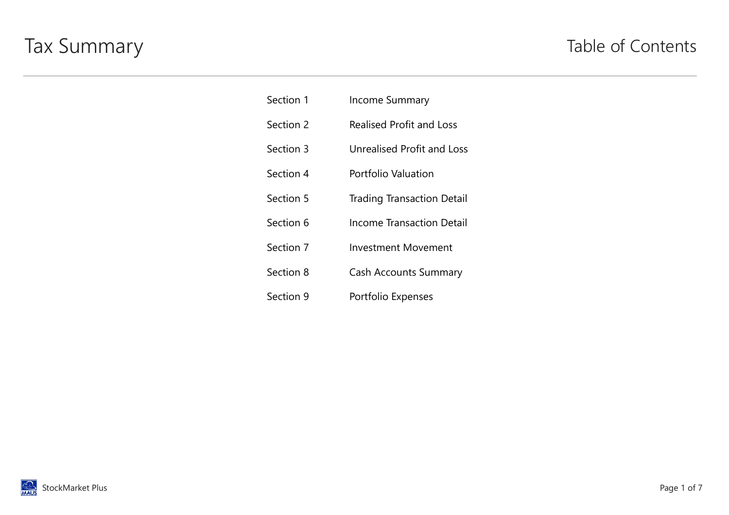## Tax Summary Table of Contents

| Section 1 | <b>Income Summary</b>             |
|-----------|-----------------------------------|
| Section 2 | <b>Realised Profit and Loss</b>   |
| Section 3 | <b>Unrealised Profit and Loss</b> |
| Section 4 | Portfolio Valuation               |
| Section 5 | <b>Trading Transaction Detail</b> |
| Section 6 | Income Transaction Detail         |
| Section 7 | <b>Investment Movement</b>        |
| Section 8 | <b>Cash Accounts Summary</b>      |
| Section 9 | Portfolio Expenses                |

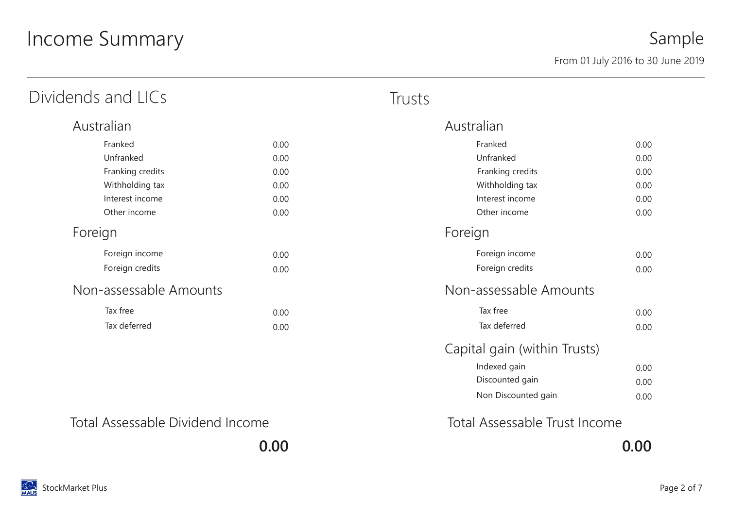# Income Summary

| Dividends and LICs     |      | Trusts |
|------------------------|------|--------|
| Australian             |      |        |
| Franked                | 0.00 |        |
| Unfranked              | 0.00 |        |
| Franking credits       | 0.00 |        |
| Withholding tax        | 0.00 |        |
| Interest income        | 0.00 |        |
| Other income           | 0.00 |        |
| Foreign                |      |        |
| Foreign income         | 0.00 |        |
| Foreign credits        | 0.00 |        |
| Non-assessable Amounts |      |        |
| Tax free               | 0.00 |        |
| Tax deferred           | 0.00 |        |
|                        |      |        |

| Australian                   |      |
|------------------------------|------|
| Franked                      | 0.00 |
| Unfranked                    | 0.00 |
| Franking credits             | 0.00 |
| Withholding tax              | 0.00 |
| Interest income              | 0.00 |
| Other income                 | 0.00 |
| Foreign                      |      |
| Foreign income               | 0.00 |
| Foreign credits              | 0.00 |
| Non-assessable Amounts       |      |
| Tax free                     | 0.00 |
| Tax deferred                 | 0.00 |
| Capital gain (within Trusts) |      |
| Indexed gain                 | 0.00 |
| Discounted gain              | 0.00 |
| Non Discounted gain          | 0.00 |
|                              |      |

Total Assessable Dividend Income Total Assessable Trust Income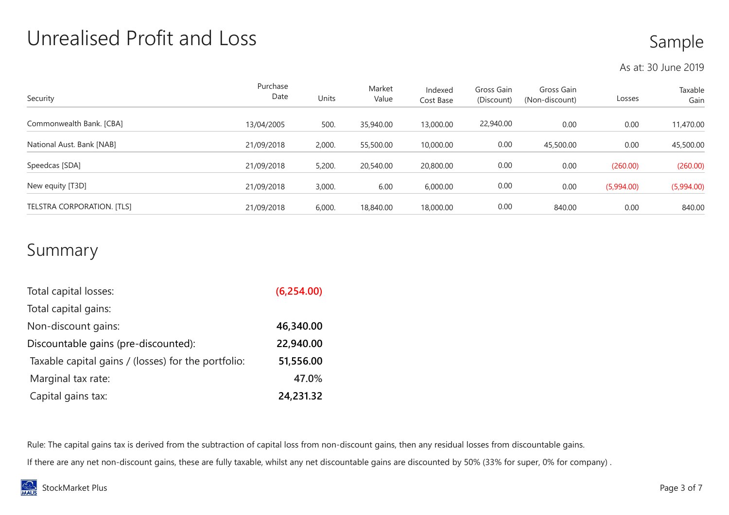### Unrealised Profit and Loss

### Sample

As at: 30 June 2019

| Security                   | Purchase<br>Date | Units  | Market<br>Value | Indexed<br>Cost Base | Gross Gain<br>(Discount) | Gross Gain<br>(Non-discount) | Losses     | Taxable<br>Gain |
|----------------------------|------------------|--------|-----------------|----------------------|--------------------------|------------------------------|------------|-----------------|
| Commonwealth Bank. [CBA]   | 13/04/2005       | 500.   | 35,940.00       | 13,000.00            | 22,940.00                | 0.00                         | 0.00       | 11,470.00       |
| National Aust. Bank [NAB]  | 21/09/2018       | 2,000. | 55,500.00       | 10,000.00            | 0.00                     | 45,500.00                    | 0.00       | 45,500.00       |
| Speedcas [SDA]             | 21/09/2018       | 5,200. | 20,540.00       | 20,800.00            | 0.00                     | 0.00                         | (260.00)   | (260.00)        |
| New equity [T3D]           | 21/09/2018       | 3,000. | 6.00            | 6,000.00             | 0.00                     | 0.00                         | (5,994.00) | (5,994.00)      |
| TELSTRA CORPORATION. [TLS] | 21/09/2018       | 6,000. | 18,840.00       | 18,000.00            | 0.00                     | 840.00                       | 0.00       | 840.00          |

#### Summary

| Total capital losses:                               | (6,254.00) |
|-----------------------------------------------------|------------|
| Total capital gains:                                |            |
| Non-discount gains:                                 | 46,340.00  |
| Discountable gains (pre-discounted):                | 22,940.00  |
| Taxable capital gains / (losses) for the portfolio: | 51,556.00  |
| Marginal tax rate:                                  | 47.0%      |
| Capital gains tax:                                  | 24,231.32  |

Rule: The capital gains tax is derived from the subtraction of capital loss from non-discount gains, then any residual losses from discountable gains.

If there are any net non-discount gains, these are fully taxable, whilst any net discountable gains are discounted by 50% (33% for super, 0% for company) .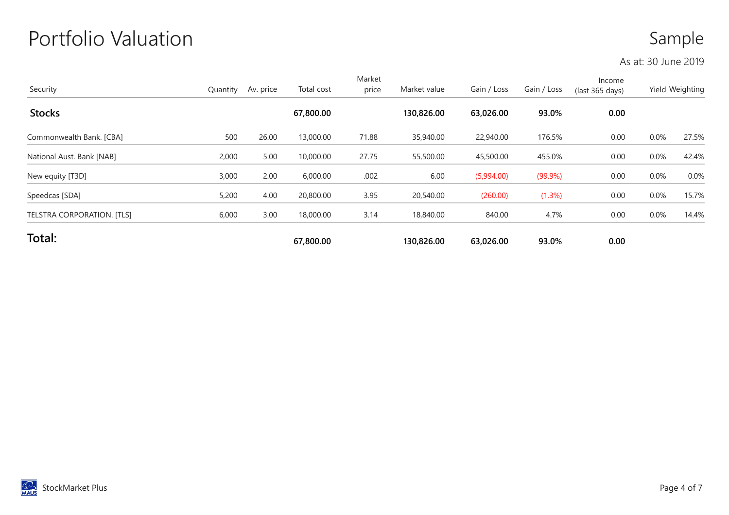## Portfolio Valuation

#### Sample

#### As at: 30 June 2019

| Security                   | Quantity | Av. price | Total cost | Market<br>price | Market value | Gain / Loss | Gain / Loss | Income<br>(last 365 days) |      | Yield Weighting |
|----------------------------|----------|-----------|------------|-----------------|--------------|-------------|-------------|---------------------------|------|-----------------|
| <b>Stocks</b>              |          |           | 67,800.00  |                 | 130,826.00   | 63,026.00   | 93.0%       | 0.00                      |      |                 |
| Commonwealth Bank. [CBA]   | 500      | 26.00     | 13,000.00  | 71.88           | 35,940.00    | 22,940.00   | 176.5%      | 0.00                      | 0.0% | 27.5%           |
| National Aust. Bank [NAB]  | 2,000    | 5.00      | 10,000.00  | 27.75           | 55,500.00    | 45,500.00   | 455.0%      | 0.00                      | 0.0% | 42.4%           |
| New equity [T3D]           | 3,000    | 2.00      | 6,000.00   | .002            | 6.00         | (5,994.00)  | $(99.9\%)$  | 0.00                      | 0.0% | 0.0%            |
| Speedcas [SDA]             | 5,200    | 4.00      | 20,800.00  | 3.95            | 20,540.00    | (260.00)    | (1.3%)      | 0.00                      | 0.0% | 15.7%           |
| TELSTRA CORPORATION. [TLS] | 6,000    | 3.00      | 18,000.00  | 3.14            | 18,840.00    | 840.00      | 4.7%        | 0.00                      | 0.0% | 14.4%           |
| Total:                     |          |           | 67,800.00  |                 | 130,826.00   | 63,026.00   | 93.0%       | 0.00                      |      |                 |

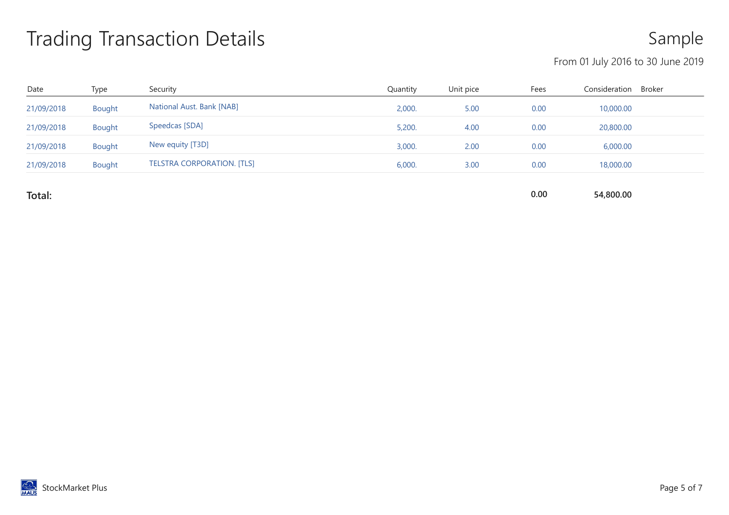## Trading Transaction Details

Sample

#### From 01 July 2016 to 30 June 2019

| Date       | Type   | Security                          | Quantity | Unit pice | Fees | Consideration | Broker |
|------------|--------|-----------------------------------|----------|-----------|------|---------------|--------|
| 21/09/2018 | Bought | National Aust. Bank [NAB]         | 2,000.   | 5.00      | 0.00 | 10,000.00     |        |
| 21/09/2018 | Bought | Speedcas [SDA]                    | 5,200.   | 4.00      | 0.00 | 20,800.00     |        |
| 21/09/2018 | Bought | New equity [T3D]                  | 3,000.   | 2.00      | 0.00 | 6,000.00      |        |
| 21/09/2018 | Bought | <b>TELSTRA CORPORATION. [TLS]</b> | 6,000.   | 3.00      | 0.00 | 18,000.00     |        |
|            |        |                                   |          |           |      |               |        |

Total: 0.00 54,800.00

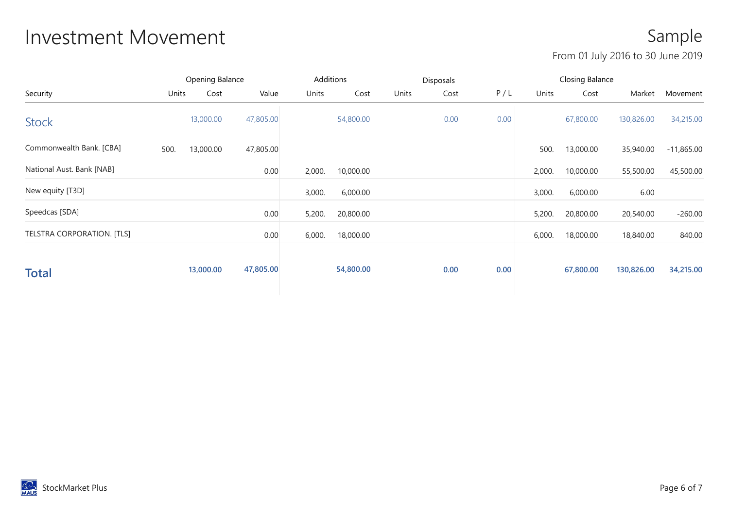### Investment Movement **Sample**

#### From 01 July 2016 to 30 June 2019

|                            |       | Opening Balance |           |        | Additions |       | Disposals |      |        | Closing Balance |            |              |
|----------------------------|-------|-----------------|-----------|--------|-----------|-------|-----------|------|--------|-----------------|------------|--------------|
| Security                   | Units | Cost            | Value     | Units  | Cost      | Units | Cost      | P/L  | Units  | Cost            | Market     | Movement     |
| <b>Stock</b>               |       | 13,000.00       | 47,805.00 |        | 54,800.00 |       | 0.00      | 0.00 |        | 67,800.00       | 130,826.00 | 34,215.00    |
| Commonwealth Bank. [CBA]   | 500.  | 13,000.00       | 47,805.00 |        |           |       |           |      | 500.   | 13,000.00       | 35,940.00  | $-11,865.00$ |
| National Aust. Bank [NAB]  |       |                 | 0.00      | 2,000. | 10,000.00 |       |           |      | 2,000. | 10,000.00       | 55,500.00  | 45,500.00    |
| New equity [T3D]           |       |                 |           | 3,000. | 6,000.00  |       |           |      | 3,000. | 6,000.00        | 6.00       |              |
| Speedcas [SDA]             |       |                 | 0.00      | 5,200. | 20,800.00 |       |           |      | 5,200. | 20,800.00       | 20,540.00  | $-260.00$    |
| TELSTRA CORPORATION. [TLS] |       |                 | 0.00      | 6,000. | 18,000.00 |       |           |      | 6,000. | 18,000.00       | 18,840.00  | 840.00       |
| <b>Total</b>               |       | 13,000.00       | 47,805.00 |        | 54,800.00 |       | 0.00      | 0.00 |        | 67,800.00       | 130,826.00 | 34,215.00    |